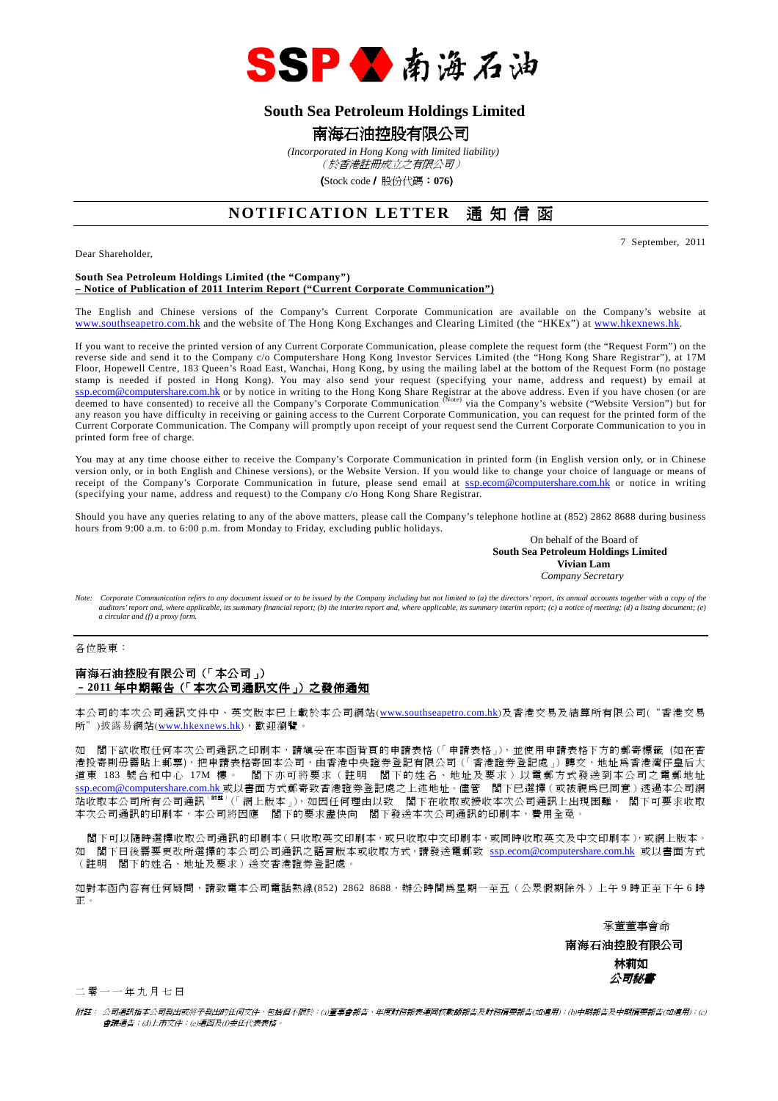

# **South Sea Petroleum Holdings Limited**

# 南海石油控股有限公司

 *(Incorporated in Hong Kong with limited liability)*

(於香港註冊成立之有限公司)

(Stock code/ 股份代碼:**076**)

# **NOTIFICATION LETTER** 通知信函

Dear Shareholder,

7 September, 2011

### **South Sea Petroleum Holdings Limited (the "Company") – Notice of Publication of 2011 Interim Report ("Current Corporate Communication")**

The English and Chinese versions of the Company's Current Corporate Communication are available on the Company's website at www.southseapetro.com.hk and the website of The Hong Kong Exchanges and Clearing Limited (the "HKEx") at www.hkexnews.hk.

If you want to receive the printed version of any Current Corporate Communication, please complete the request form (the "Request Form") on the reverse side and send it to the Company c/o Computershare Hong Kong Investor Services Limited (the "Hong Kong Share Registrar"), at 17M Floor, Hopewell Centre, 183 Queen's Road East, Wanchai, Hong Kong, by using the mailing label at the bottom of the Request Form (no postage stamp is needed if posted in Hong Kong). You may also send your request (specifying your name, address and request) by email at ssp.ecom@computershare.com.hk or by notice in writing to the Hong Kong Share Registrar at the above address. Even if you have chosen (or are<br>deemed to have consented) to receive all the Company's Corporate Communication <sup>(</sup> any reason you have difficulty in receiving or gaining access to the Current Corporate Communication, you can request for the printed form of the any reason you have difficulty in receiving or gaining access to the Current Current Corporate Communication. The Company will promptly upon receipt of your request send the Current Corporate Communication to you in printed form free of charge.

You may at any time choose either to receive the Company's Corporate Communication in printed form (in English version only, or in Chinese version only, or in both English and Chinese versions), or the Website Version. If you would like to change your choice of language or means of receipt of the Company's Corporate Communication in future, please send email at ssp.ecom@computershare.com.hk or notice in writing (specifying your name, address and request) to the Company c/o Hong Kong Share Registrar.

Should you have any queries relating to any of the above matters, please call the Company's telephone hotline at (852) 2862 8688 during business hours from 9:00 a.m. to 6:00 p.m. from Monday to Friday, excluding public holidays.

On behalf of the Board of  **South Sea Petroleum Holdings Limited Vivian Lam**  *Company Secretary* 

*Note: Corporate Communication refers to any document issued or to be issued by the Company including but not limited to (a) the directors' report, its annual accounts together with a copy of the auditors' report and, where applicable, its summary financial report; (b) the interim report and, where applicable, its summary interim report; (c) a notice of meeting; (d) a listing document; (e) a circular and (f) a proxy form.* 

各位股東:

### 南海石油控股有限公司(「本公司」) –**2011** 年中期報告(「本次公司通訊文件」)之發佈通知

本公司的本次公司通訊文件中、 英文版本已上載於本公司網站(www.southseapetro.com.hk)及香港交易及結算所有限公司("香港交易 所")披露易網站(www.hkexnews.hk),歡迎瀏覽。

如 閣下欲收取任何本次公司通訊之印刷本,請填妥在本函背頁的申請表格(「申請表格」),並使用申請表格下方的郵寄標籤 (如在香 港投寄則毋需貼上郵票),把申請表格寄回本公司,由香港中央證券登記有限公司(「香港證券登記處」)轉交,地址為香港灣仔皇后大 道東 183 號合和中心 17M 樓。 閣下亦可將要求 (註明 閣下的姓名、地址及要求) 以電郵方式發送到本公司之電郵地址 s<u>sp.ecom@computershare.com.hk</u> 或以書面方式郵寄致香港證券登記處之上述地址。儘管 閣下已選擇 ( 或被視爲已同意 ) 透過本公司網 站收取本公司所有公司通訊<sup>(附註)</sup>(「網上版本」),如因任何理由以致 閣下在收取或接收本次公司通訊上出現困難, 閣下可要求收取 本次公司通訊的印刷本,本公司將因應 閣下的要求盡快向 閣下發送本次公司通訊的印刷本,費用全免。

 閣下可以隨時選擇收取公司通訊的印刷本(只收取英文印刷本,或只收取中文印刷本,或同時收取英文及中文印刷本),或網上版本。 如 閣下日後需要更改所選擇的本公司公司通訊之語言版本或收取方式,請發送電郵致 ssp.ecom@computershare.com.hk 或以書面方式 (註明 閣下的姓名、地址及要求)送交香港證券登記處。

如對本函內容有任何疑問,請致電本公司電話熱線(852) 2862 8688,辦公時間為星期一至五(公眾假期除外)上午 9 時正至下午 6 時 正。

承董董事會命

 南海石油控股有限公司 林莉如 公司秘書

二 零 一 一 年 九 月 七 日

附註: 公司通訊指本公司發出或將予發出的任何文件,包括但不限於:(a)董事會報告、年度財務報表連同核數師報告及財務摘要報告(如適用);(b)中期報告及中期摘要報告(如適用);(c) 會議通告;(d)上市文件;(e)通函及(f)委任代表表格。